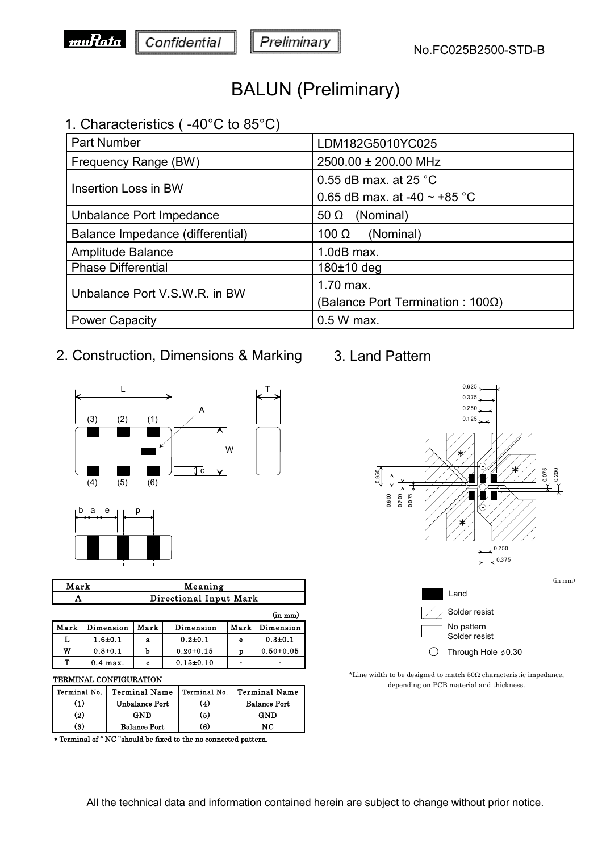

## BALUN (Preliminary)

### 1. Characteristics ( -40°C to 85°C)

| Part Number                      | LDM182G5010YC025                  |  |
|----------------------------------|-----------------------------------|--|
| Frequency Range (BW)             | 2500.00 ± 200.00 MHz              |  |
| Insertion Loss in BW             | 0.55 dB max, at 25 $^{\circ}$ C   |  |
|                                  | 0.65 dB max. at -40 $\sim$ +85 °C |  |
| Unbalance Port Impedance         | (Nominal)<br>50 $\Omega$          |  |
| Balance Impedance (differential) | (Nominal)<br>100 $\Omega$         |  |
| Amplitude Balance                | $1.0$ dB max.                     |  |
| <b>Phase Differential</b>        | $180±10$ deg                      |  |
|                                  | 1.70 max.                         |  |
| Unbalance Port V.S.W.R. in BW    | (Balance Port Termination : 100Ω) |  |
| <b>Power Capacity</b>            | $0.5 W$ max.                      |  |

## 2. Construction, Dimensions & Marking



| Meaning                |
|------------------------|
| Directional Input Mark |

|      |             |      |               |                | $(in \, mm)$  |
|------|-------------|------|---------------|----------------|---------------|
| Mark | Dimension   | Mark | Dimension     | Mark           | Dimension     |
|      | $1.6 + 0.1$ | а    | $0.2 + 0.1$   | е              | $0.3 + 0.1$   |
| w    | $0.8 + 0.1$ | b    | $0.20 + 0.15$ | p              | $0.50 + 0.05$ |
| Т    | $0.4$ max.  | c    | $0.15 + 0.10$ | $\blacksquare$ | ۰             |

#### TERMINAL CONFIGURATION

| Terminal No. | <b>Terminal Name</b>  | Terminal No. | <b>Terminal Name</b> |
|--------------|-----------------------|--------------|----------------------|
| (1)          | <b>Unbalance Port</b> | (4)          | <b>Balance Port</b>  |
| (2)          | GND                   | (5)          | GND                  |
| (3)          | <b>Balance Port</b>   | (6)          | NС                   |

Terminal of " NC "should be fixed to the no connected pattern.

### 3. Land Pattern



\*Line width to be designed to match  $50\Omega$  characteristic impedance, depending on PCB material and thickness.

#### All the technical data and information contained herein are subject to change without prior notice.